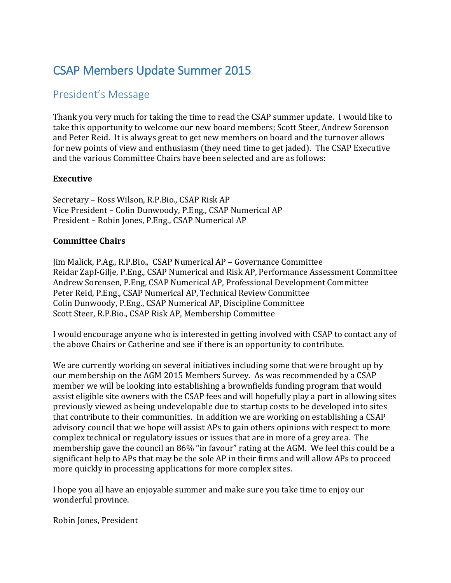# CSAP Members Update Summer 2015

# President's Message

Thank you very much for taking the time to read the CSAP summer update. I would like to take this opportunity to welcome our new board members; Scott Steer, Andrew Sorenson and Peter Reid. It is always great to get new members on board and the turnover allows for new points of view and enthusiasm (they need time to get jaded). The CSAP Executive and the various Committee Chairs have been selected and are as follows:

## **Executive**

Secretary – Ross Wilson, R.P.Bio., CSAP Risk AP Vice President – Colin Dunwoody, P.Eng., CSAP Numerical AP President – Robin Jones, P.Eng., CSAP Numerical AP

## **Committee Chairs**

Jim Malick, P.Ag., R.P.Bio., CSAP Numerical AP – Governance Committee Reidar Zapf-Gilje, P.Eng., CSAP Numerical and Risk AP, Performance Assessment Committee Andrew Sorensen, P.Eng, CSAP Numerical AP, Professional Development Committee Peter Reid, P.Eng., CSAP Numerical AP, Technical Review Committee Colin Dunwoody, P.Eng., CSAP Numerical AP, Discipline Committee Scott Steer, R.P.Bio., CSAP Risk AP, Membership Committee

I would encourage anyone who is interested in getting involved with CSAP to contact any of the above Chairs or Catherine and see if there is an opportunity to contribute.

We are currently working on several initiatives including some that were brought up by our membership on the AGM 2015 Members Survey. As was recommended by a CSAP member we will be looking into establishing a brownfields funding program that would assist eligible site owners with the CSAP fees and will hopefully play a part in allowing sites previously viewed as being undevelopable due to startup costs to be developed into sites that contribute to their communities. In addition we are working on establishing a CSAP advisory council that we hope will assist APs to gain others opinions with respect to more complex technical or regulatory issues or issues that are in more of a grey area. The membership gave the council an 86% "in favour" rating at the AGM. We feel this could be a significant help to APs that may be the sole AP in their firms and will allow APs to proceed more quickly in processing applications for more complex sites.

I hope you all have an enjoyable summer and make sure you take time to enjoy our wonderful province.

Robin Jones, President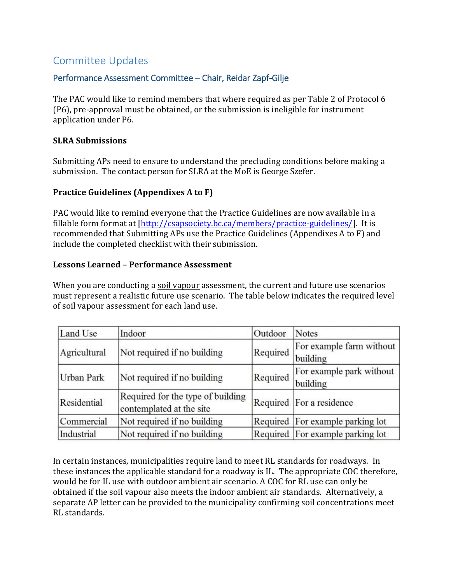# Committee Updates

## Performance Assessment Committee – Chair, Reidar Zapf-Gilje

The PAC would like to remind members that where required as per Table 2 of Protocol 6 (P6), pre-approval must be obtained, or the submission is ineligible for instrument application under P6.

#### **SLRA Submissions**

Submitting APs need to ensure to understand the precluding conditions before making a submission. The contact person for SLRA at the MoE is George Szefer.

#### **Practice Guidelines (Appendixes A to F)**

PAC would like to remind everyone that the Practice Guidelines are now available in a fillable form format at [\[http://csapsociety.bc.ca/members/practice-guidelines/\]](http://csapsociety.bc.ca/members/practice-guidelines/). It is recommended that Submitting APs use the Practice Guidelines (Appendixes A to F) and include the completed checklist with their submission.

#### **Lessons Learned – Performance Assessment**

When you are conducting a soil vapour assessment, the current and future use scenarios must represent a realistic future use scenario. The table below indicates the required level of soil vapour assessment for each land use.

| Land Use          | Indoor                                                        | Outdoor  | <b>Notes</b>                         |
|-------------------|---------------------------------------------------------------|----------|--------------------------------------|
| Agricultural      | Not required if no building                                   | Required | For example farm without<br>building |
| <b>Urban Park</b> | Not required if no building                                   | Required | For example park without<br>building |
| Residential       | Required for the type of building<br>contemplated at the site |          | Required For a residence             |
| Commercial        | Not required if no building                                   |          | Required For example parking lot     |
| Industrial        | Not required if no building                                   |          | Required For example parking lot     |

In certain instances, municipalities require land to meet RL standards for roadways. In these instances the applicable standard for a roadway is IL. The appropriate COC therefore, would be for IL use with outdoor ambient air scenario. A COC for RL use can only be obtained if the soil vapour also meets the indoor ambient air standards. Alternatively, a separate AP letter can be provided to the municipality confirming soil concentrations meet RL standards.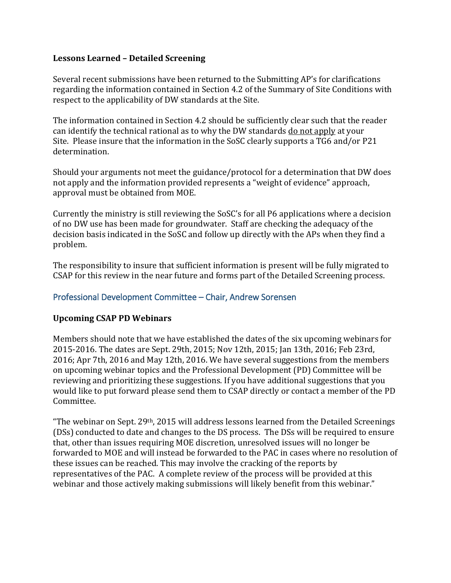#### **Lessons Learned – Detailed Screening**

Several recent submissions have been returned to the Submitting AP's for clarifications regarding the information contained in Section 4.2 of the Summary of Site Conditions with respect to the applicability of DW standards at the Site.

The information contained in Section 4.2 should be sufficiently clear such that the reader can identify the technical rational as to why the DW standards do not apply at your Site. Please insure that the information in the SoSC clearly supports a TG6 and/or P21 determination.

Should your arguments not meet the guidance/protocol for a determination that DW does not apply and the information provided represents a "weight of evidence" approach, approval must be obtained from MOE.

Currently the ministry is still reviewing the SoSC's for all P6 applications where a decision of no DW use has been made for groundwater. Staff are checking the adequacy of the decision basis indicated in the SoSC and follow up directly with the APs when they find a problem.

The responsibility to insure that sufficient information is present will be fully migrated to CSAP for this review in the near future and forms part of the Detailed Screening process.

## Professional Development Committee – Chair, Andrew Sorensen

#### **Upcoming CSAP PD Webinars**

Members should note that we have established the dates of the six upcoming webinars for 2015-2016. The dates are Sept. 29th, 2015; Nov 12th, 2015; Jan 13th, 2016; Feb 23rd, 2016; Apr 7th, 2016 and May 12th, 2016. We have several suggestions from the members on upcoming webinar topics and the Professional Development (PD) Committee will be reviewing and prioritizing these suggestions. If you have additional suggestions that you would like to put forward please send them to CSAP directly or contact a member of the PD Committee.

"The webinar on Sept. 29<sup>th</sup>, 2015 will address lessons learned from the Detailed Screenings (DSs) conducted to date and changes to the DS process. The DSs will be required to ensure that, other than issues requiring MOE discretion, unresolved issues will no longer be forwarded to MOE and will instead be forwarded to the PAC in cases where no resolution of these issues can be reached. This may involve the cracking of the reports by representatives of the PAC. A complete review of the process will be provided at this webinar and those actively making submissions will likely benefit from this webinar."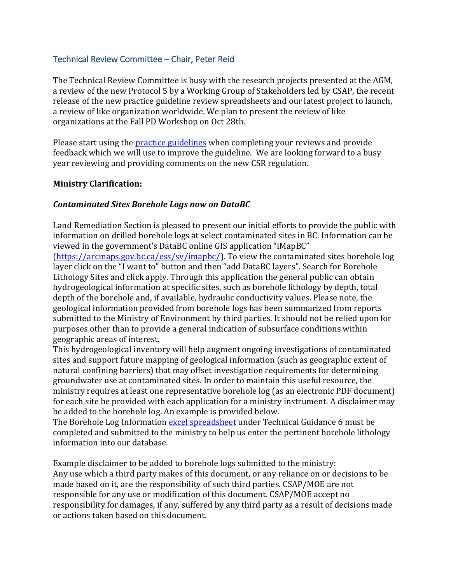#### Technical Review Committee – Chair, Peter Reid

The Technical Review Committee is busy with the research projects presented at the AGM, a review of the new Protocol 5 by a Working Group of Stakeholders led by CSAP, the recent release of the new practice guideline review spreadsheets and our latest project to launch, a review of like organization worldwide. We plan to present the review of like organizations at the Fall PD Workshop on Oct 28th.

Please start using the **practice guidelines** when completing your reviews and provide feedback which we will use to improve the guideline. We are looking forward to a busy year reviewing and providing comments on the new CSR regulation.

#### **Ministry Clarification:**

#### *Contaminated Sites Borehole Logs now on DataBC*

Land Remediation Section is pleased to present our initial efforts to provide the public with information on drilled borehole logs at select contaminated sites in BC. Information can be viewed in the government's DataBC online GIS application "iMapBC"

[\(https://arcmaps.gov.bc.ca/ess/sv/imapbc/\)](https://arcmaps.gov.bc.ca/ess/sv/imapbc/). To view the contaminated sites borehole log layer click on the "I want to" button and then "add DataBC layers". Search for Borehole Lithology Sites and click apply. Through this application the general public can obtain hydrogeological information at specific sites, such as borehole lithology by depth, total depth of the borehole and, if available, hydraulic conductivity values. Please note, the geological information provided from borehole logs has been summarized from reports submitted to the Ministry of Environment by third parties. It should not be relied upon for purposes other than to provide a general indication of subsurface conditions within geographic areas of interest.

This hydrogeological inventory will help augment ongoing investigations of contaminated sites and support future mapping of geological information (such as geographic extent of natural confining barriers) that may offset investigation requirements for determining groundwater use at contaminated sites. In order to maintain this useful resource, the ministry requires at least one representative borehole log (as an electronic PDF document) for each site be provided with each application for a ministry instrument. A disclaimer may be added to the borehole log. An example is provided below.

The Borehole Log Information [excel spreadsheet](http://csapsociety.bc.ca/wp/wp-content/uploads/Copy-of-bh_log_information-1.xlsx) under Technical Guidance 6 must be completed and submitted to the ministry to help us enter the pertinent borehole lithology information into our database.

Example disclaimer to be added to borehole logs submitted to the ministry: Any use which a third party makes of this document, or any reliance on or decisions to be made based on it, are the responsibility of such third parties. CSAP/MOE are not responsible for any use or modification of this document. CSAP/MOE accept no responsibility for damages, if any, suffered by any third party as a result of decisions made or actions taken based on this document.